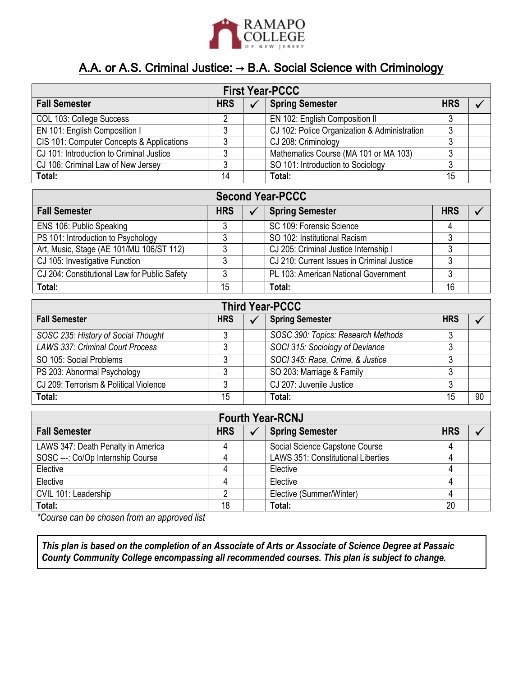

## A.A. or A.S. Criminal Justice: → B.A. Social Science with Criminology

| <b>First Year-PCCC</b>                       |                |  |                                              |            |  |
|----------------------------------------------|----------------|--|----------------------------------------------|------------|--|
| <b>Fall Semester</b>                         | <b>HRS</b>     |  | <b>Spring Semester</b>                       | <b>HRS</b> |  |
| COL 103: College Success                     | $\overline{c}$ |  | EN 102: English Composition II               | 3          |  |
| EN 101: English Composition I                | 3              |  | CJ 102: Police Organization & Administration | 3          |  |
| CIS 101: Computer Concepts & Applications    | 3              |  | CJ 208: Criminology                          | 3          |  |
| CJ 101: Introduction to Criminal Justice     | 3              |  | Mathematics Course (MA 101 or MA 103)        | 3          |  |
| CJ 106: Criminal Law of New Jersey           | 3              |  | SO 101: Introduction to Sociology            | 3          |  |
| Total:                                       | 14             |  | Total:                                       | 15         |  |
| <b>Second Year-PCCC</b>                      |                |  |                                              |            |  |
| <b>Fall Semester</b>                         | <b>HRS</b>     |  | <b>Spring Semester</b>                       | <b>HRS</b> |  |
| ENS 106: Public Speaking                     | 3              |  | SC 109: Forensic Science                     | 4          |  |
| PS 101: Introduction to Psychology           | 3              |  | SO 102: Institutional Racism                 | 3          |  |
| Art, Music, Stage (AE 101/MU 106/ST 112)     | 3              |  | CJ 205: Criminal Justice Internship I        | 3          |  |
| CJ 105: Investigative Function               | 3              |  | CJ 210: Current Issues in Criminal Justice   | 3          |  |
| CJ 204: Constitutional Law for Public Safety | 3              |  | PL 103: American National Government         | 3          |  |
| Total:                                       | 15             |  | Total:                                       | 16         |  |
| <b>Third Year-PCCC</b>                       |                |  |                                              |            |  |
| <b>Fall Semester</b>                         | <b>HRS</b>     |  | <b>Spring Semester</b>                       | <b>HRS</b> |  |

| Fail Jeillestel                         | пnэ. | <b>Oping Semester</b>              | ппо |    |
|-----------------------------------------|------|------------------------------------|-----|----|
| SOSC 235: History of Social Thought     |      | SOSC 390: Topics: Research Methods |     |    |
| <b>LAWS 337: Criminal Court Process</b> |      | SOCI 315: Sociology of Deviance    |     |    |
| SO 105: Social Problems                 |      | SOCI 345: Race, Crime, & Justice   |     |    |
| PS 203: Abnormal Psychology             |      | SO 203: Marriage & Family          |     |    |
| CJ 209: Terrorism & Political Violence  |      | CJ 207: Juvenile Justice           |     |    |
| Total:                                  | 15   | Total:                             | 15  | 90 |

| <b>Fourth Year-RCNJ</b>            |            |  |                                           |            |  |
|------------------------------------|------------|--|-------------------------------------------|------------|--|
| <b>Fall Semester</b>               | <b>HRS</b> |  | <b>Spring Semester</b>                    | <b>HRS</b> |  |
| LAWS 347: Death Penalty in America |            |  | Social Science Capstone Course            |            |  |
| SOSC ---: Co/Op Internship Course  |            |  | <b>LAWS 351: Constitutional Liberties</b> |            |  |
| Elective                           |            |  | Elective                                  |            |  |
| Elective                           |            |  | Elective                                  |            |  |
| CVIL 101: Leadership               |            |  | Elective (Summer/Winter)                  |            |  |
| Total:                             | 18         |  | Total:                                    | 20         |  |

*\*Course can be chosen from an approved list*

*This plan is based on the completion of an Associate of Arts or Associate of Science Degree at Passaic County Community College encompassing all recommended courses. This plan is subject to change.*